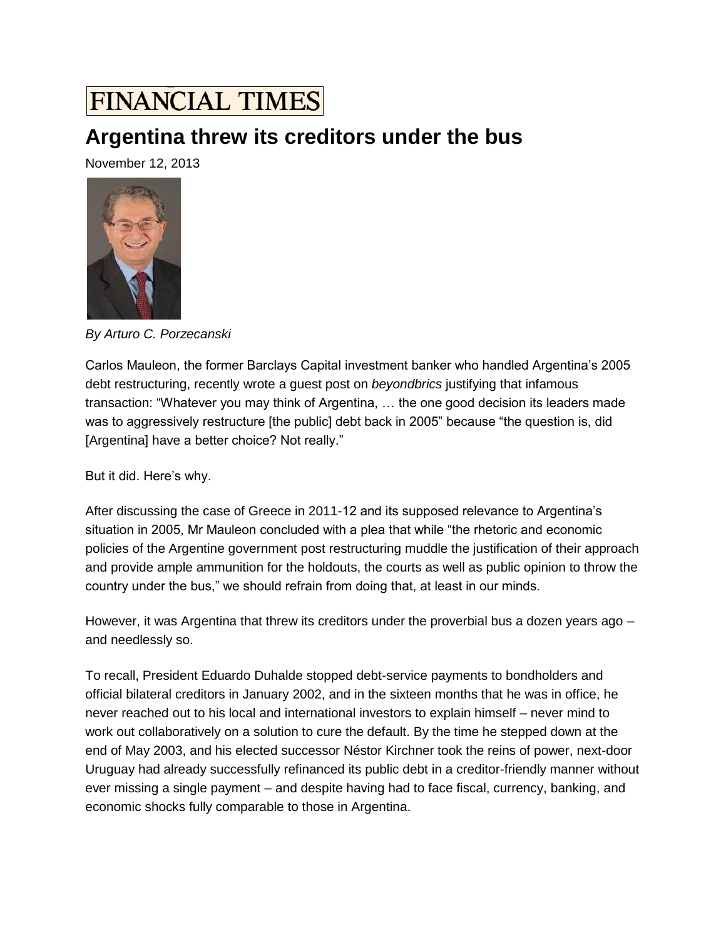## **FINANCIAL TIMES**

## **Argentina threw its creditors under the bus**

November 12, 2013



*By Arturo C. Porzecanski*

Carlos Mauleon, the former Barclays Capital investment banker who handled Argentina's 2005 debt restructuring, recently wrote a guest post on *beyondbrics* [justifying that infamous](http://blogs.ft.com/2013/11/06/guest-post-dont-throw-argentina-under-the-bus/)  [transaction:](http://blogs.ft.com/2013/11/06/guest-post-dont-throw-argentina-under-the-bus/) "Whatever you may think of Argentina, … the one good decision its leaders made was to aggressively restructure [the public] debt back in 2005" because "the question is, did [Argentina] have a better choice? Not really."

But it did. Here's why.

After discussing the case of Greece in 2011-12 and its supposed relevance to Argentina's situation in 2005, Mr Mauleon concluded with a plea that while "the rhetoric and economic policies of the Argentine government post restructuring muddle the justification of their approach and provide ample ammunition for the holdouts, the courts as well as public opinion to throw the country under the bus," we should refrain from doing that, at least in our minds.

However, it was Argentina that threw its creditors under the proverbial bus a dozen years ago – and needlessly so.

To recall, President Eduardo Duhalde stopped debt-service payments to bondholders and official bilateral creditors in January 2002, and in the sixteen months that he was in office, he never reached out to his local and international investors to explain himself – never mind to work out collaboratively on a solution to cure the default. By the time he stepped down at the end of May 2003, and his elected successor Néstor Kirchner took the reins of power, next-door Uruguay had already successfully refinanced its public debt in a creditor-friendly manner without ever missing a single payment – and despite having had to face fiscal, currency, banking, and economic shocks fully comparable to those in Argentina.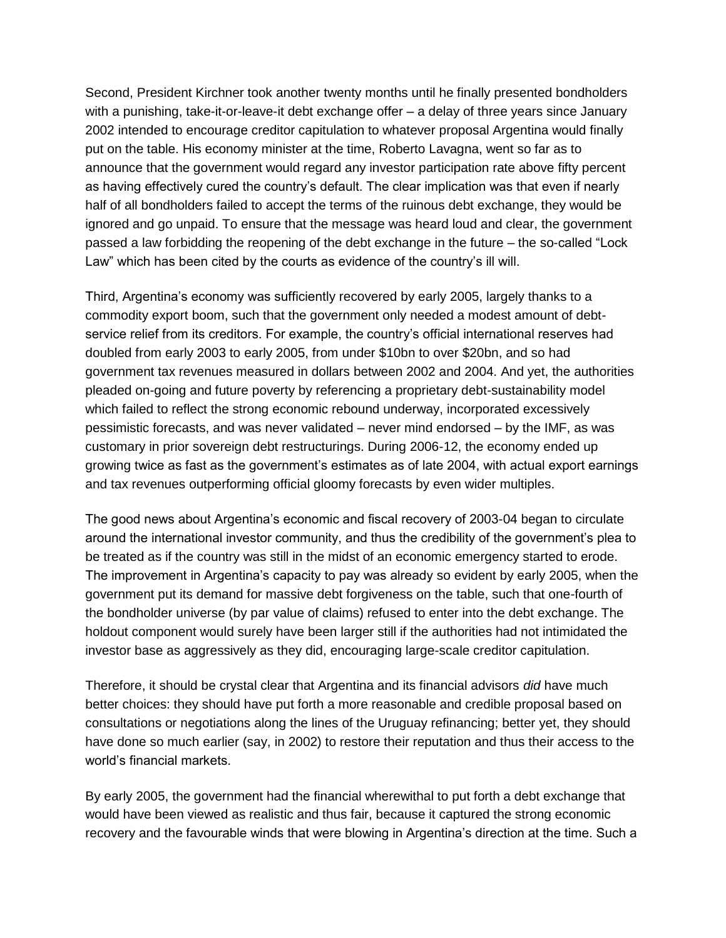Second, President Kirchner took another twenty months until he finally presented bondholders with a punishing, take-it-or-leave-it debt exchange offer – a delay of three years since January 2002 intended to encourage creditor capitulation to whatever proposal Argentina would finally put on the table. His economy minister at the time, Roberto Lavagna, went so far as to announce that the government would regard any investor participation rate above fifty percent as having effectively cured the country's default. The clear implication was that even if nearly half of all bondholders failed to accept the terms of the ruinous debt exchange, they would be ignored and go unpaid. To ensure that the message was heard loud and clear, the government passed a law forbidding the reopening of the debt exchange in the future – the so-called "Lock Law" which has been cited by the courts as evidence of the country's ill will.

Third, Argentina's economy was sufficiently recovered by early 2005, largely thanks to a commodity export boom, such that the government only needed a modest amount of debtservice relief from its creditors. For example, the country's official international reserves had doubled from early 2003 to early 2005, from under \$10bn to over \$20bn, and so had government tax revenues measured in dollars between 2002 and 2004. And yet, the authorities pleaded on-going and future poverty by referencing a proprietary debt-sustainability model which failed to reflect the strong economic rebound underway, incorporated excessively pessimistic forecasts, and was never validated – never mind endorsed – by the IMF, as was customary in prior sovereign debt restructurings. During 2006-12, the economy ended up growing twice as fast as the government's estimates as of late 2004, with actual export earnings and tax revenues outperforming official gloomy forecasts by even wider multiples.

The good news about Argentina's economic and fiscal recovery of 2003-04 began to circulate around the international investor community, and thus the credibility of the government's plea to be treated as if the country was still in the midst of an economic emergency started to erode. The improvement in Argentina's capacity to pay was already so evident by early 2005, when the government put its demand for massive debt forgiveness on the table, such that one-fourth of the bondholder universe (by par value of claims) refused to enter into the debt exchange. The holdout component would surely have been larger still if the authorities had not intimidated the investor base as aggressively as they did, encouraging large-scale creditor capitulation.

Therefore, it should be crystal clear that Argentina and its financial advisors *did* have much better choices: they should have put forth a more reasonable and credible proposal based on consultations or negotiations along the lines of the Uruguay refinancing; better yet, they should have done so much earlier (say, in 2002) to restore their reputation and thus their access to the world's financial markets.

By early 2005, the government had the financial wherewithal to put forth a debt exchange that would have been viewed as realistic and thus fair, because it captured the strong economic recovery and the favourable winds that were blowing in Argentina's direction at the time. Such a